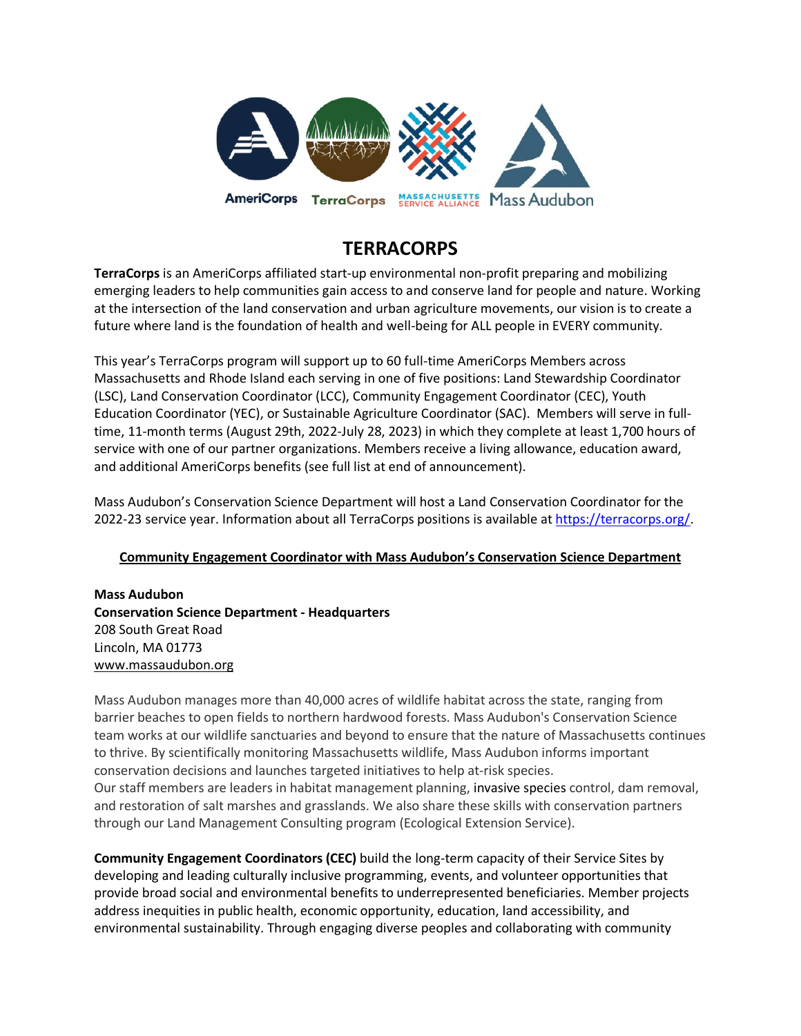

# **TERRACORPS**

**TerraCorps** is an AmeriCorps affiliated start-up environmental non-profit preparing and mobilizing emerging leaders to help communities gain access to and conserve land for people and nature. Working at the intersection of the land conservation and urban agriculture movements, our vision is to create a future where land is the foundation of health and well-being for ALL people in EVERY community.

This year's TerraCorps program will support up to 60 full-time AmeriCorps Members across Massachusetts and Rhode Island each serving in one of five positions: Land Stewardship Coordinator (LSC), Land Conservation Coordinator (LCC), Community Engagement Coordinator (CEC), Youth Education Coordinator (YEC), or Sustainable Agriculture Coordinator (SAC). Members will serve in fulltime, 11-month terms (August 29th, 2022-July 28, 2023) in which they complete at least 1,700 hours of service with one of our partner organizations. Members receive a living allowance, education award, and additional AmeriCorps benefits (see full list at end of announcement).

Mass Audubon's Conservation Science Department will host a Land Conservation Coordinator for the 2022-23 service year. Information about all TerraCorps positions is available at [https://terracorps.org/.](https://terracorps.org/)

# **Community Engagement Coordinator with Mass Audubon's Conservation Science Department**

**Mass Audubon Conservation Science Department - Headquarters** 208 South Great Road Lincoln, MA 01773 [www.massaudubon.org](http://mountgrace.org/)

Mass Audubon manages more than 40,000 acres of wildlife habitat across the state, ranging from barrier beaches to open fields to northern hardwood forests. Mass Audubon's Conservation Science team works at our wildlife sanctuaries and beyond to ensure that the nature of Massachusetts continues to thrive. By scientifically monitoring Massachusetts wildlife, Mass Audubon informs important conservation decisions and launches targeted initiatives to help at-risk species. Our staff members are leaders in habitat management planning, invasive species control, dam removal, and restoration of salt marshes and grasslands. We also share these skills with conservation partners through our Land Management Consulting program (Ecological Extension Service).

**Community Engagement Coordinators (CEC)** build the long-term capacity of their Service Sites by developing and leading culturally inclusive programming, events, and volunteer opportunities that provide broad social and environmental benefits to underrepresented beneficiaries. Member projects address inequities in public health, economic opportunity, education, land accessibility, and environmental sustainability. Through engaging diverse peoples and collaborating with community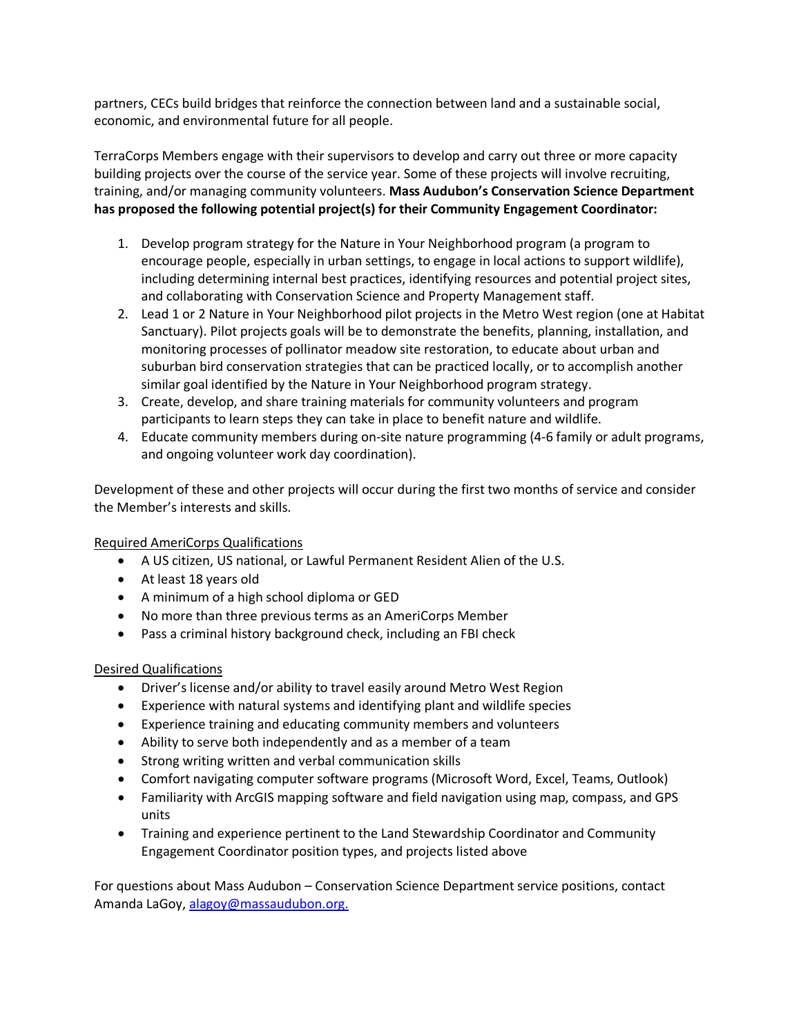partners, CECs build bridges that reinforce the connection between land and a sustainable social, economic, and environmental future for all people.

TerraCorps Members engage with their supervisors to develop and carry out three or more capacity building projects over the course of the service year. Some of these projects will involve recruiting, training, and/or managing community volunteers. **Mass Audubon's Conservation Science Department has proposed the following potential project(s) for their Community Engagement Coordinator:**

- 1. Develop program strategy for the Nature in Your Neighborhood program (a program to encourage people, especially in urban settings, to engage in local actions to support wildlife), including determining internal best practices, identifying resources and potential project sites, and collaborating with Conservation Science and Property Management staff.
- 2. Lead 1 or 2 Nature in Your Neighborhood pilot projects in the Metro West region (one at Habitat Sanctuary). Pilot projects goals will be to demonstrate the benefits, planning, installation, and monitoring processes of pollinator meadow site restoration, to educate about urban and suburban bird conservation strategies that can be practiced locally, or to accomplish another similar goal identified by the Nature in Your Neighborhood program strategy.
- 3. Create, develop, and share training materials for community volunteers and program participants to learn steps they can take in place to benefit nature and wildlife.
- 4. Educate community members during on-site nature programming (4-6 family or adult programs, and ongoing volunteer work day coordination).

Development of these and other projects will occur during the first two months of service and consider the Member's interests and skills.

Required AmeriCorps Qualifications

- A US citizen, US national, or Lawful Permanent Resident Alien of the U.S.
- At least 18 years old
- A minimum of a high school diploma or GED
- No more than three previous terms as an AmeriCorps Member
- Pass a criminal history background check, including an FBI check

#### Desired Qualifications

- Driver's license and/or ability to travel easily around Metro West Region
- Experience with natural systems and identifying plant and wildlife species
- Experience training and educating community members and volunteers
- Ability to serve both independently and as a member of a team
- Strong writing written and verbal communication skills
- Comfort navigating computer software programs (Microsoft Word, Excel, Teams, Outlook)
- Familiarity with ArcGIS mapping software and field navigation using map, compass, and GPS units
- Training and experience pertinent to the Land Stewardship Coordinator and Community Engagement Coordinator position types, and projects listed above

For questions about Mass Audubon – Conservation Science Department service positions, contact Amanda LaGoy[, alagoy@massaudubon.org.](mailto:alagoy@massaudubon.org)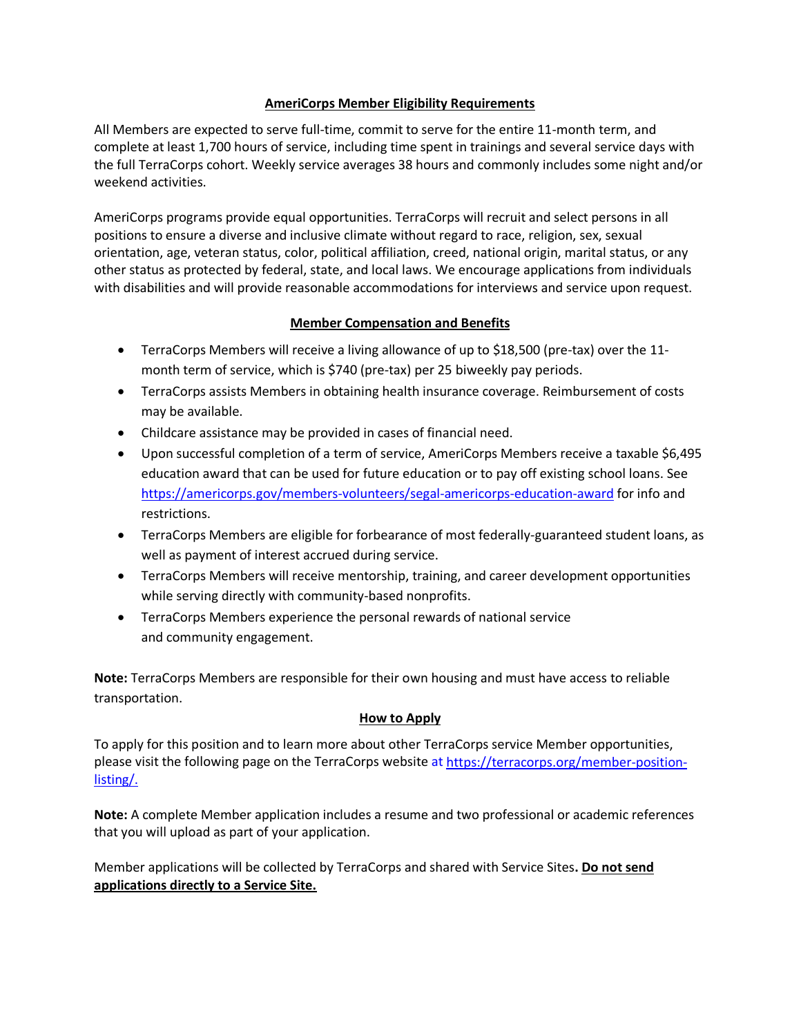### **AmeriCorps Member Eligibility Requirements**

All Members are expected to serve full-time, commit to serve for the entire 11-month term, and complete at least 1,700 hours of service, including time spent in trainings and several service days with the full TerraCorps cohort. Weekly service averages 38 hours and commonly includes some night and/or weekend activities.

AmeriCorps programs provide equal opportunities. TerraCorps will recruit and select persons in all positions to ensure a diverse and inclusive climate without regard to race, religion, sex, sexual orientation, age, veteran status, color, political affiliation, creed, national origin, marital status, or any other status as protected by federal, state, and local laws. We encourage applications from individuals with disabilities and will provide reasonable accommodations for interviews and service upon request.

### **Member Compensation and Benefits**

- TerraCorps Members will receive a living allowance of up to \$18,500 (pre-tax) over the 11 month term of service, which is \$740 (pre-tax) per 25 biweekly pay periods.
- TerraCorps assists Members in obtaining health insurance coverage. Reimbursement of costs may be available.
- Childcare assistance may be provided in cases of financial need.
- Upon successful completion of a term of service, AmeriCorps Members receive a taxable \$6,495 education award that can be used for future education or to pay off existing school loans. See <https://americorps.gov/members-volunteers/segal-americorps-education-award> for info and restrictions.
- TerraCorps Members are eligible for forbearance of most federally-guaranteed student loans, as well as payment of interest accrued during service.
- TerraCorps Members will receive mentorship, training, and career development opportunities while serving directly with community-based nonprofits.
- TerraCorps Members experience the personal rewards of national service and community engagement.

**Note:** TerraCorps Members are responsible for their own housing and must have access to reliable transportation.

# **How to Apply**

To apply for this position and to learn more about other TerraCorps service Member opportunities, please visit the following page on the TerraCorps website at [https://terracorps.org/member-position](https://terracorps.org/member-position-listing/)[listing/.](https://terracorps.org/member-position-listing/)

**Note:** A complete Member application includes a resume and two professional or academic references that you will upload as part of your application.

Member applications will be collected by TerraCorps and shared with Service Sites**. Do not send applications directly to a Service Site.**